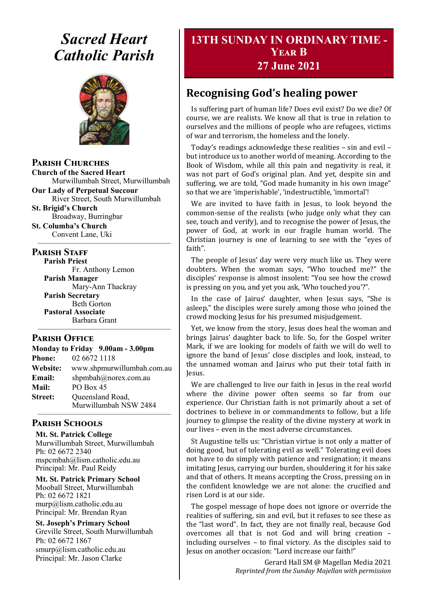# *Sacred Heart Catholic Parish*



**Parish Churches**

**Church of the Sacred Heart** Murwillumbah Street, Murwillumbah

**Our Lady of Perpetual Succour** River Street, South Murwillumbah

**St. Brigid's Church** Broadway, Burringbar

**St. Columba's Church** Convent Lane, Uki —————————————————

#### **PARISH STAFF**

**Parish Priest**

Fr. Anthony Lemon **Parish Manager** Mary-Ann Thackray **Parish Secretary** Beth Gorton **Pastoral Associate** Barbara Grant

#### **Parish Office**

**Monday to Friday 9.00am - 3.00pm Phone:** 02 6672 1118 **Website:** www.shpmurwillumbah.com.au **Email:** shpmbah@norex.com.au **Mail:** PO Box 45 **Street:** Oueensland Road, Murwillumbah NSW 2484

—————————————————

#### ————————————————— **Parish Schools**

**Mt. St. Patrick College** Murwillumbah Street, Murwillumbah Ph: 02 6672 2340 mspcmbah@lism.catholic.edu.au Principal: Mr. Paul Reidy

**Mt. St. Patrick Primary School** Mooball Street, Murwillumbah Ph: 02 6672 1821 murp@lism.catholic.edu.au Principal: Mr. Brendan Ryan

**St. Joseph's Primary School** Greville Street, South Murwillumbah Ph: 02 6672 1867 smurp@lism.catholic.edu.au Principal: Mr. Jason Clarke

# **13TH SUNDAY IN ORDINARY TIME - Year B 27 June 2021**

# **Recognising God's healing power**

Is suffering part of human life? Does evil exist? Do we die? Of course, we are realists. We know all that is true in relation to ourselves and the millions of people who are refugees, victims of war and terrorism, the homeless and the lonely.

Today's readings acknowledge these realities – sin and evil – but introduce us to another world of meaning. According to the Book of Wisdom, while all this pain and negativity is real, it was not part of God's original plan. And yet, despite sin and suffering, we are told, "God made humanity in his own image" so that we are 'imperishable', 'indestructible, 'immortal'!

We are invited to have faith in Jesus, to look beyond the common-sense of the realists (who judge only what they can see, touch and verify), and to recognise the power of Jesus, the power of God, at work in our fragile human world. The Christian journey is one of learning to see with the "eyes of faith".

The people of Jesus' day were very much like us. They were doubters. When the woman says, "Who touched me?" the disciples' response is almost insolent: "You see how the crowd is pressing on you, and yet you ask, 'Who touched you'?".

In the case of Jairus' daughter, when Jesus says, "She is asleep," the disciples were surely among those who joined the crowd mocking Jesus for his presumed misjudgement.

Yet, we know from the story, Jesus does heal the woman and brings Jairus' daughter back to life. So, for the Gospel writer Mark, if we are looking for models of faith we will do well to ignore the band of Jesus' close disciples and look, instead, to the unnamed woman and Jairus who put their total faith in Jesus.

We are challenged to live our faith in Jesus in the real world where the divine power often seems so far from our experience. Our Christian faith is not primarily about a set of doctrines to believe in or commandments to follow, but a life journey to glimpse the reality of the divine mystery at work in our lives – even in the most adverse circumstances.

St Augustine tells us: "Christian virtue is not only a matter of doing good, but of tolerating evil as well." Tolerating evil does not have to do simply with patience and resignation; it means imitating Jesus, carrying our burden, shouldering it for his sake and that of others. It means accepting the Cross, pressing on in the confident knowledge we are not alone: the crucified and risen Lord is at our side.

The gospel message of hope does not ignore or override the realities of suffering, sin and evil, but it refuses to see these as the "last word". In fact, they are not finally real, because God overcomes all that is not God and will bring creation – including ourselves – to final victory. As the disciples said to Jesus on another occasion: "Lord increase our faith!"

> Gerard Hall SM @ Magellan Media 2021 *Reprinted from the Sunday Majellan with permission*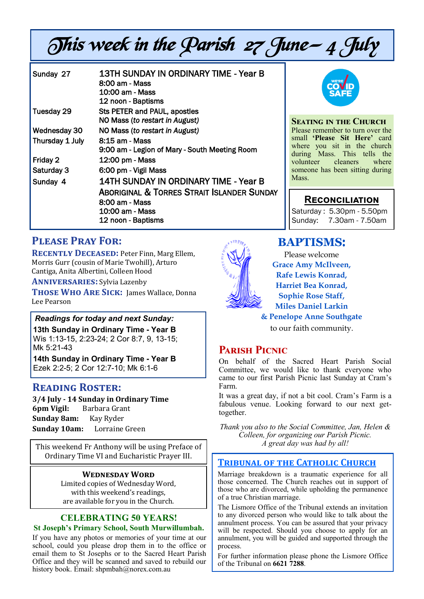# This week in the Parish 27 June— 4 July

| Sunday 27       | 13TH SUNDAY IN ORDINARY TIME - Year B<br>8:00 am - Mass<br>10:00 am - Mass<br>12 noon - Baptisms                                                          |
|-----------------|-----------------------------------------------------------------------------------------------------------------------------------------------------------|
| Tuesday 29      | Sts PETER and PAUL, apostles<br>NO Mass (to restart in August)                                                                                            |
| Wednesday 30    | NO Mass (to restart in August)                                                                                                                            |
| Thursday 1 July | 8:15 am - Mass<br>9:00 am - Legion of Mary - South Meeting Room                                                                                           |
| Friday 2        | 12:00 pm - Mass                                                                                                                                           |
| Saturday 3      | 6:00 pm - Vigil Mass                                                                                                                                      |
| Sunday 4        | 14TH SUNDAY IN ORDINARY TIME - Year B<br><b>ABORIGINAL &amp; TORRES STRAIT ISLANDER SUNDAY</b><br>8:00 am - Mass<br>10:00 am - Mass<br>12 noon - Baptisms |



#### **Seating in the Church**

Please remember to turn over the small **'Please Sit Here'** card where you sit in the church during Mass. This tells the<br>volunteer cleaners where volunteer someone has been sitting during Mass.

#### **Reconciliation**

Saturday : 5.30pm - 5.50pm Sunday: 7.30am - 7.50am

# **Please Pray For:**

**RECENTLY DECEASED: Peter Finn, Marg Ellem,** Morris Gurr (cousin of Marie Twohill), Arturo Cantiga, Anita Albertini, Colleen Hood

**Anniversaries:** Sylvia Lazenby

**Those Who Are Sick:** James Wallace, Donna Lee Pearson

#### *Readings for today and next Sunday:*

**13th Sunday in Ordinary Time - Year B**  Wis 1:13-15, 2:23-24; 2 Cor 8:7, 9, 13-15; Mk 5:21-43

**14th Sunday in Ordinary Time - Year B**  Ezek 2:2-5; 2 Cor 12:7-10; Mk 6:1-6

#### **Reading Roster:**

**3/4 July - 14 Sunday in Ordinary Time 6pm Vigil:** Barbara Grant **Sunday 8am:** Kay Ryder **Sunday 10am:** Lorraine Green

This weekend Fr Anthony will be using Preface of Ordinary Time VI and Eucharistic Prayer III.

#### **Wednesday Word**

Limited copies of Wednesday Word, with this weekend's readings, are available for you in the Church.

#### **CELEBRATING 50 YEARS!**

#### **St Joseph's Primary School, South Murwillumbah.**

If you have any photos or memories of your time at our school, could you please drop them in to the office or email them to St Josephs or to the Sacred Heart Parish Office and they will be scanned and saved to rebuild our history book. Email: shpmbah@norex.com.au



# **BAPTISMS**:

Please welcome **Grace Amy McIlveen, Rafe Lewis Konrad, Harriet Bea Konrad, Sophie Rose Staff, Miles Daniel Larkin & Penelope Anne Southgate** 

to our faith community.

#### **Parish Picnic**

On behalf of the Sacred Heart Parish Social Committee, we would like to thank everyone who came to our first Parish Picnic last Sunday at Cram's Farm.

It was a great day, if not a bit cool. Cram's Farm is a fabulous venue. Looking forward to our next gettogether.

*Thank you also to the Social Committee, Jan, Helen & Colleen, for organizing our Parish Picnic. A great day was had by all!*

#### **Tribunal of the Catholic Church**

Marriage breakdown is a traumatic experience for all those concerned. The Church reaches out in support of those who are divorced, while upholding the permanence of a true Christian marriage.

The Lismore Office of the Tribunal extends an invitation to any divorced person who would like to talk about the annulment process. You can be assured that your privacy will be respected. Should you choose to apply for an annulment, you will be guided and supported through the process.

For further information please phone the Lismore Office of the Tribunal on **6621 7288**.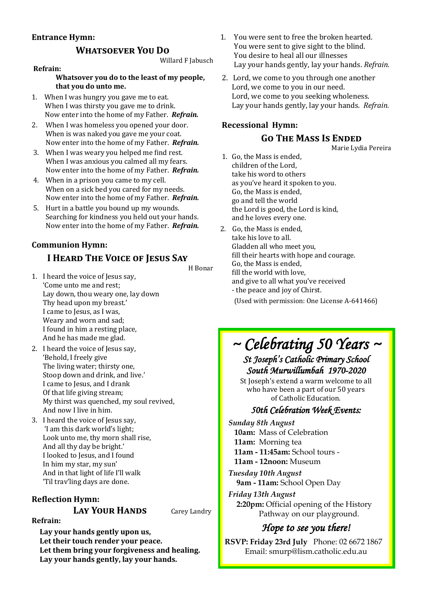#### **Entrance Hymn:**

#### **Whatsoever You Do**

Willard F Jabusch

#### **Refrain:**

**Whatsover you do to the least of my people, that you do unto me.**

- 1. When I was hungry you gave me to eat. When I was thirsty you gave me to drink. Now enter into the home of my Father. *Refrain.*
- 2. When I was homeless you opened your door. When is was naked you gave me your coat. Now enter into the home of my Father. *Refrain.*
- 3. When I was weary you helped me find rest. When I was anxious you calmed all my fears. Now enter into the home of my Father. *Refrain.*
- 4. When in a prison you came to my cell. When on a sick bed you cared for my needs. Now enter into the home of my Father. *Refrain.*
- 5. Hurt in a battle you bound up my wounds. Searching for kindness you held out your hands. Now enter into the home of my Father. *Refrain.*

#### **Communion Hymn:**

# **I Heard The Voice of Jesus Say**

H Bonar

- 1. I heard the voice of Jesus say, 'Come unto me and rest; Lay down, thou weary one, lay down Thy head upon my breast.' I came to Jesus, as I was, Weary and worn and sad; I found in him a resting place, And he has made me glad.
- 2. I heard the voice of Jesus say, 'Behold, I freely give The living water; thirsty one, Stoop down and drink, and live.' I came to Jesus, and I drank Of that life giving stream; My thirst was quenched, my soul revived, And now I live in him.
- 3. I heard the voice of Jesus say, 'I am this dark world's light; Look unto me, thy morn shall rise, And all thy day be bright.' I looked to Jesus, and I found In him my star, my sun' And in that light of life I'll walk 'Til trav'ling days are done.

**Reflection Hymn:**

#### **LAY YOUR HANDS** Carey Landry

#### **Refrain:**

**Lay your hands gently upon us, Let their touch render your peace. Let them bring your forgiveness and healing. Lay your hands gently, lay your hands.**

- 1. You were sent to free the broken hearted. You were sent to give sight to the blind. You desire to heal all our illnesses Lay your hands gently, lay your hands. *Refrain.*
- 2. Lord, we come to you through one another Lord, we come to you in our need. Lord, we come to you seeking wholeness. Lay your hands gently, lay your hands. *Refrain.*

#### **Recessional Hymn: Go The Mass Is Ended**

Marie Lydia Pereira

- 1. Go, the Mass is ended, children of the Lord, take his word to others as you've heard it spoken to you. Go, the Mass is ended, go and tell the world the Lord is good, the Lord is kind, and he loves every one.
- 2. Go, the Mass is ended, take his love to all. Gladden all who meet you, fill their hearts with hope and courage. Go, the Mass is ended, fill the world with love, and give to all what you've received - the peace and joy of Chirst. (Used with permission: One License A-641466)

# *~ Celebrating 50 Years ~*

# *St Joseph's Catholic Primary School South Murwillumbah 1970-2020*

St Joseph's extend a warm welcome to all who have been a part of our 50 years of Catholic Education.

#### *50th Celebration Week Events:*

*Sunday 8th August*  **10am:** Mass of Celebration **11am:** Morning tea **11am - 11:45am:** School tours - **11am - 12noon:** Museum

*Tuesday 10th August*  **9am - 11am:** School Open Day

*Friday 13th August*  **2:20pm:** Official opening of the History Pathway on our playground.

# *Hope to see you there!*

**RSVP: Friday 23rd July** Phone: 02 6672 1867 Email: smurp@lism.catholic.edu.au